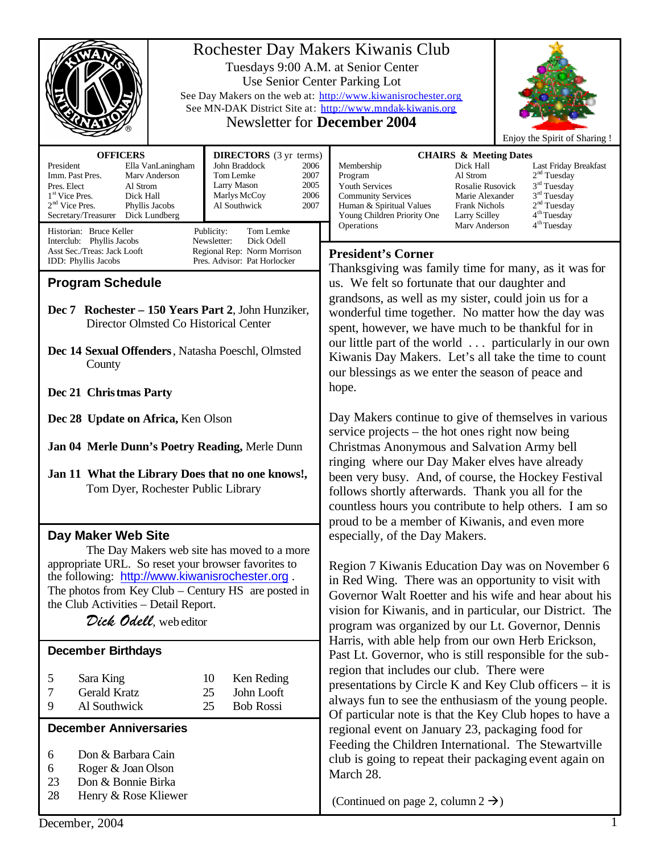|                                                                                                                                                                                                                                                                                  |                                                                                                                   | Rochester Day Makers Kiwanis Club<br>Tuesdays 9:00 A.M. at Senior Center<br>Use Senior Center Parking Lot<br>See Day Makers on the web at: http://www.kiwanisrochester.org<br>See MN-DAK District Site at: http://www.mndak-kiwanis.org<br><b>Newsletter for December 2004</b><br>Enjoy the Spirit of Sharing !                                                                                                                                                    |  |
|----------------------------------------------------------------------------------------------------------------------------------------------------------------------------------------------------------------------------------------------------------------------------------|-------------------------------------------------------------------------------------------------------------------|--------------------------------------------------------------------------------------------------------------------------------------------------------------------------------------------------------------------------------------------------------------------------------------------------------------------------------------------------------------------------------------------------------------------------------------------------------------------|--|
| <b>OFFICERS</b>                                                                                                                                                                                                                                                                  | <b>DIRECTORS</b> (3 yr terms)                                                                                     | <b>CHAIRS &amp; Meeting Dates</b>                                                                                                                                                                                                                                                                                                                                                                                                                                  |  |
| President<br>Ella VanLaningham<br>Imm. Past Pres.<br>Marv Anderson<br>Pres. Elect<br>Al Strom<br>1 <sup>st</sup> Vice Pres.<br>Dick Hall<br>$2nd$ Vice Pres.<br>Phyllis Jacobs<br>Secretary/Treasurer<br>Dick Lundberg                                                           | John Braddock<br>2006<br>Tom Lemke<br>2007<br>Larry Mason<br>2005<br>2006<br>Marlys McCoy<br>Al Southwick<br>2007 | Membership<br>Dick Hall<br>Last Friday Breakfast<br>2 <sup>nd</sup> Tuesday<br>Al Strom<br>Program<br>3 <sup>rd</sup> Tuesday<br>Youth Services<br>Rosalie Rusovick<br>3 <sup>rd</sup> Tuesday<br><b>Community Services</b><br>Marie Alexander<br>2 <sup>nd</sup> Tuesday<br>Human & Spiritual Values<br><b>Frank Nichols</b><br>4 <sup>th</sup> Tuesday<br>Young Children Priority One<br>Larry Scilley<br>4 <sup>th</sup> Tuesday<br>Operations<br>Mary Anderson |  |
| Historian: Bruce Keller<br>Interclub: Phyllis Jacobs                                                                                                                                                                                                                             | Publicity:<br>Tom Lemke<br>Newsletter:<br>Dick Odell                                                              |                                                                                                                                                                                                                                                                                                                                                                                                                                                                    |  |
| Asst Sec./Treas: Jack Looft<br>Regional Rep: Norm Morrison                                                                                                                                                                                                                       |                                                                                                                   | <b>President's Corner</b>                                                                                                                                                                                                                                                                                                                                                                                                                                          |  |
| IDD: Phyllis Jacobs<br>Pres. Advisor: Pat Horlocker                                                                                                                                                                                                                              |                                                                                                                   | Thanksgiving was family time for many, as it was for<br>us. We felt so fortunate that our daughter and                                                                                                                                                                                                                                                                                                                                                             |  |
| <b>Program Schedule</b>                                                                                                                                                                                                                                                          |                                                                                                                   |                                                                                                                                                                                                                                                                                                                                                                                                                                                                    |  |
| Dec 7 Rochester - 150 Years Part 2, John Hunziker,<br>Director Olmsted Co Historical Center<br>Dec 14 Sexual Offenders, Natasha Poeschl, Olmsted<br>County                                                                                                                       |                                                                                                                   | grandsons, as well as my sister, could join us for a<br>wonderful time together. No matter how the day was<br>spent, however, we have much to be thankful for in<br>our little part of the world  particularly in our own<br>Kiwanis Day Makers. Let's all take the time to count<br>our blessings as we enter the season of peace and                                                                                                                             |  |
| Dec 21 Christmas Party                                                                                                                                                                                                                                                           |                                                                                                                   | hope.                                                                                                                                                                                                                                                                                                                                                                                                                                                              |  |
| Dec 28 Update on Africa, Ken Olson                                                                                                                                                                                                                                               |                                                                                                                   | Day Makers continue to give of themselves in various<br>service projects – the hot ones right now being                                                                                                                                                                                                                                                                                                                                                            |  |
| Jan 04 Merle Dunn's Poetry Reading, Merle Dunn<br>Jan 11 What the Library Does that no one knows!,<br>Tom Dyer, Rochester Public Library                                                                                                                                         |                                                                                                                   | Christmas Anonymous and Salvation Army bell<br>ringing where our Day Maker elves have already<br>been very busy. And, of course, the Hockey Festival<br>follows shortly afterwards. Thank you all for the<br>countless hours you contribute to help others. I am so<br>proud to be a member of Kiwanis, and even more                                                                                                                                              |  |
| Day Maker Web Site                                                                                                                                                                                                                                                               |                                                                                                                   | especially, of the Day Makers.                                                                                                                                                                                                                                                                                                                                                                                                                                     |  |
| The Day Makers web site has moved to a more<br>appropriate URL. So reset your browser favorites to<br>the following: http://www.kiwanisrochester.org.<br>The photos from Key Club $-$ Century HS are posted in<br>the Club Activities - Detail Report.<br>Dick Odell, web editor |                                                                                                                   | Region 7 Kiwanis Education Day was on November 6<br>in Red Wing. There was an opportunity to visit with<br>Governor Walt Roetter and his wife and hear about his<br>vision for Kiwanis, and in particular, our District. The<br>program was organized by our Lt. Governor, Dennis<br>Harris, with able help from our own Herb Erickson,                                                                                                                            |  |
| <b>December Birthdays</b>                                                                                                                                                                                                                                                        |                                                                                                                   | Past Lt. Governor, who is still responsible for the sub-                                                                                                                                                                                                                                                                                                                                                                                                           |  |
| 5<br>Sara King<br><b>Gerald Kratz</b><br>7<br>Al Southwick<br>9                                                                                                                                                                                                                  | Ken Reding<br>10<br>John Looft<br>25<br><b>Bob Rossi</b><br>25                                                    | region that includes our club. There were<br>presentations by Circle K and Key Club officers – it is<br>always fun to see the enthusiasm of the young people.<br>Of particular note is that the Key Club hopes to have a                                                                                                                                                                                                                                           |  |
| <b>December Anniversaries</b>                                                                                                                                                                                                                                                    |                                                                                                                   | regional event on January 23, packaging food for                                                                                                                                                                                                                                                                                                                                                                                                                   |  |
| Don & Barbara Cain<br>6<br>Roger & Joan Olson<br>6<br>23<br>Don & Bonnie Birka<br>28<br>Henry & Rose Kliewer                                                                                                                                                                     |                                                                                                                   | Feeding the Children International. The Stewartville<br>club is going to repeat their packaging event again on<br>March 28.                                                                                                                                                                                                                                                                                                                                        |  |
|                                                                                                                                                                                                                                                                                  |                                                                                                                   | (Continued on page 2, column $2 \rightarrow$ )                                                                                                                                                                                                                                                                                                                                                                                                                     |  |
| December, 2004                                                                                                                                                                                                                                                                   |                                                                                                                   |                                                                                                                                                                                                                                                                                                                                                                                                                                                                    |  |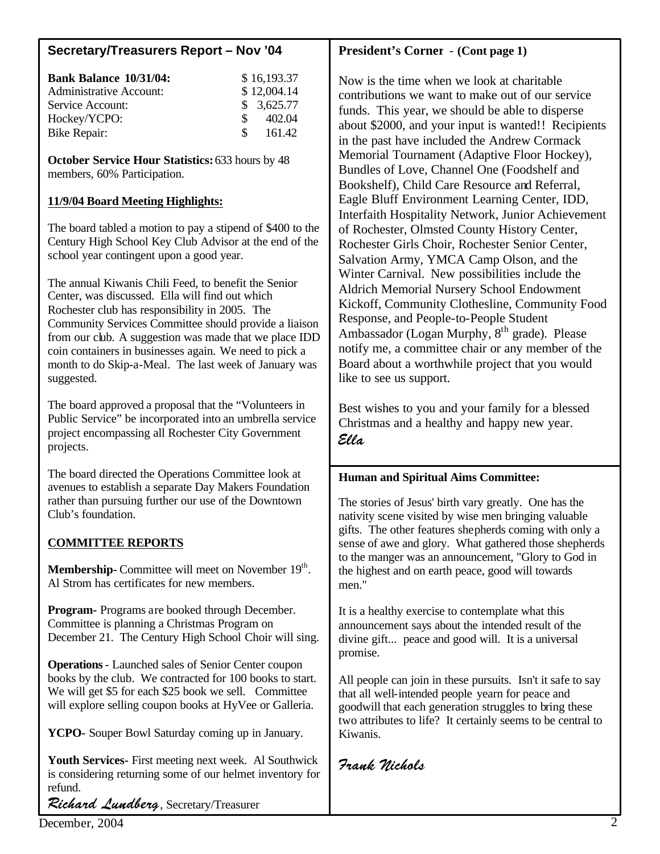## **Secretary/Treasurers Report – Nov '04**

| <b>Bank Balance 10/31/04:</b><br><b>Administrative Account:</b> | \$16,193.37<br>\$12,004.14 |
|-----------------------------------------------------------------|----------------------------|
| Service Account:                                                | \$3,625.77                 |
| Hockey/YCPO:<br>$\mathcal{S}$                                   | 402.04                     |
| <b>Bike Repair:</b>                                             | 161.42<br>$\mathcal{S}$    |

**October Service Hour Statistics:** 633 hours by 48 members, 60% Participation.

## **11/9/04 Board Meeting Highlights:**

The board tabled a motion to pay a stipend of \$400 to the Century High School Key Club Advisor at the end of the school year contingent upon a good year.

The annual Kiwanis Chili Feed, to benefit the Senior Center, was discussed. Ella will find out which Rochester club has responsibility in 2005. The Community Services Committee should provide a liaison from our club. A suggestion was made that we place IDD coin containers in businesses again. We need to pick a month to do Skip-a-Meal. The last week of January was suggested.

The board approved a proposal that the "Volunteers in Public Service" be incorporated into an umbrella service project encompassing all Rochester City Government projects.

The board directed the Operations Committee look at avenues to establish a separate Day Makers Foundation rather than pursuing further our use of the Downtown Club's foundation.

# **COMMITTEE REPORTS**

**Membership-** Committee will meet on November 19<sup>th</sup>. Al Strom has certificates for new members.

**Program-** Programs are booked through December. Committee is planning a Christmas Program on December 21. The Century High School Choir will sing.

**Operations**- Launched sales of Senior Center coupon books by the club. We contracted for 100 books to start. We will get \$5 for each \$25 book we sell. Committee will explore selling coupon books at HyVee or Galleria.

**YCPO-** Souper Bowl Saturday coming up in January.

**Youth Services-** First meeting next week. Al Southwick is considering returning some of our helmet inventory for refund.

Richard Lundberg, Secretary/Treasurer

# **President's Corner** - **(Cont page 1)**

Now is the time when we look at charitable contributions we want to make out of our service funds. This year, we should be able to disperse about \$2000, and your input is wanted!! Recipients in the past have included the Andrew Cormack Memorial Tournament (Adaptive Floor Hockey), Bundles of Love, Channel One (Foodshelf and Bookshelf), Child Care Resource and Referral, Eagle Bluff Environment Learning Center, IDD, Interfaith Hospitality Network, Junior Achievement of Rochester, Olmsted County History Center, Rochester Girls Choir, Rochester Senior Center, Salvation Army, YMCA Camp Olson, and the Winter Carnival. New possibilities include the Aldrich Memorial Nursery School Endowment Kickoff, Community Clothesline, Community Food Response, and People-to-People Student Ambassador (Logan Murphy, 8<sup>th</sup> grade). Please notify me, a committee chair or any member of the Board about a worthwhile project that you would like to see us support.

Best wishes to you and your family for a blessed Christmas and a healthy and happy new year. Ella

## **Human and Spiritual Aims Committee:**

The stories of Jesus' birth vary greatly. One has the nativity scene visited by wise men bringing valuable gifts. The other features shepherds coming with only a sense of awe and glory. What gathered those shepherds to the manger was an announcement, "Glory to God in the highest and on earth peace, good will towards men."

It is a healthy exercise to contemplate what this announcement says about the intended result of the divine gift... peace and good will. It is a universal promise.

All people can join in these pursuits. Isn't it safe to say that all well-intended people yearn for peace and goodwill that each generation struggles to bring these two attributes to life? It certainly seems to be central to Kiwanis.

Frank Nichols